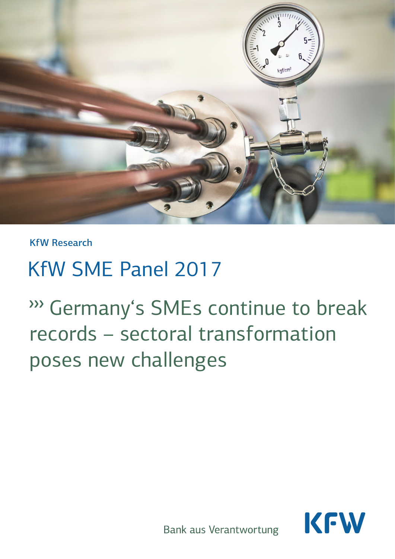

KfW Research

# KfW SME Panel 2017

∆Germany's SMEs continue to break records – sectoral transformation poses new challenges



**Bank aus Verantwortung**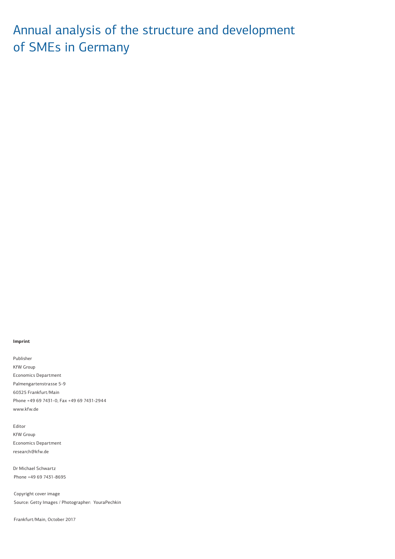# Annual analysis of the structure and development of SMEs in Germany

#### **Imprint**

Publisher KfW Group Economics Department Palmengartenstrasse 5-9 60325 Frankfurt/Main Phone +49 69 7431-0, Fax +49 69 7431-2944 www.kfw.de

Editor KfW Group Economics Department research@kfw.de

Dr Michael Schwartz Phone +49 69 7431-8695

Copyright cover image Source: Getty Images / Photographer: YouraPechkin

Frankfurt/Main, October 2017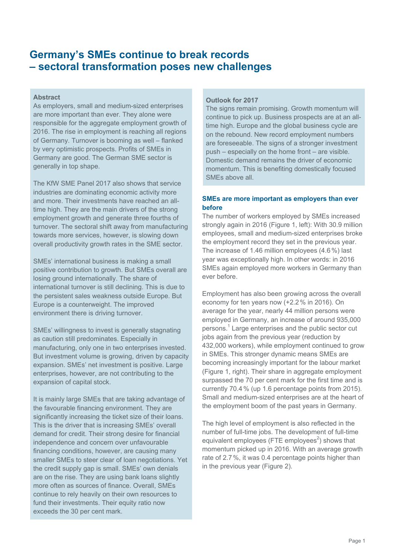# **Germany's SMEs continue to break records – sectoral transformation poses new challenges**

# **Abstract**

As employers, small and medium-sized enterprises are more important than ever. They alone were responsible for the aggregate employment growth of 2016. The rise in employment is reaching all regions of Germany. Turnover is booming as well – flanked by very optimistic prospects. Profits of SMEs in Germany are good. The German SME sector is generally in top shape.

The KfW SME Panel 2017 also shows that service industries are dominating economic activity more and more. Their investments have reached an alltime high. They are the main drivers of the strong employment growth and generate three fourths of turnover. The sectoral shift away from manufacturing towards more services, however, is slowing down overall productivity growth rates in the SME sector.

SMEs' international business is making a small positive contribution to growth. But SMEs overall are losing ground internationally. The share of international turnover is still declining. This is due to the persistent sales weakness outside Europe. But Europe is a counterweight. The improved environment there is driving turnover.

SMEs' willingness to invest is generally stagnating as caution still predominates. Especially in manufacturing, only one in two enterprises invested. But investment volume is growing, driven by capacity expansion. SMEs' net investment is positive. Large enterprises, however, are not contributing to the expansion of capital stock.

It is mainly large SMEs that are taking advantage of the favourable financing environment. They are significantly increasing the ticket size of their loans. This is the driver that is increasing SMEs' overall demand for credit. Their strong desire for financial independence and concern over unfavourable financing conditions, however, are causing many smaller SMEs to steer clear of loan negotiations. Yet the credit supply gap is small. SMEs' own denials are on the rise. They are using bank loans slightly more often as sources of finance. Overall, SMEs continue to rely heavily on their own resources to fund their investments. Their equity ratio now exceeds the 30 per cent mark.

# **Outlook for 2017**

The signs remain promising. Growth momentum will continue to pick up. Business prospects are at an alltime high. Europe and the global business cycle are on the rebound. New record employment numbers are foreseeable. The signs of a stronger investment push – especially on the home front – are visible. Domestic demand remains the driver of economic momentum. This is benefiting domestically focused SMEs above all.

# **SMEs are more important as employers than ever before**

The number of workers employed by SMEs increased strongly again in 2016 (Figure 1, left): With 30.9 million employees, small and medium-sized enterprises broke the employment record they set in the previous year. The increase of 1.46 million employees (4.6%) last year was exceptionally high. In other words: in 2016 SMEs again employed more workers in Germany than ever before.

Employment has also been growing across the overall economy for ten years now (+2.2% in 2016). On average for the year, nearly 44 million persons were employed in Germany, an increase of around 935,000 persons.<sup>1</sup> Large enterprises and the public sector cut jobs again from the previous year (reduction by 432,000 workers), while employment continued to grow in SMEs. This stronger dynamic means SMEs are becoming increasingly important for the labour market (Figure 1, right). Their share in aggregate employment surpassed the 70 per cent mark for the first time and is currently 70.4% (up 1.6 percentage points from 2015). Small and medium-sized enterprises are at the heart of the employment boom of the past years in Germany.

The high level of employment is also reflected in the number of full-time jobs. The development of full-time equivalent employees (FTE employees<sup>2</sup>) shows that momentum picked up in 2016. With an average growth rate of 2.7%, it was 0.4 percentage points higher than in the previous year (Figure 2).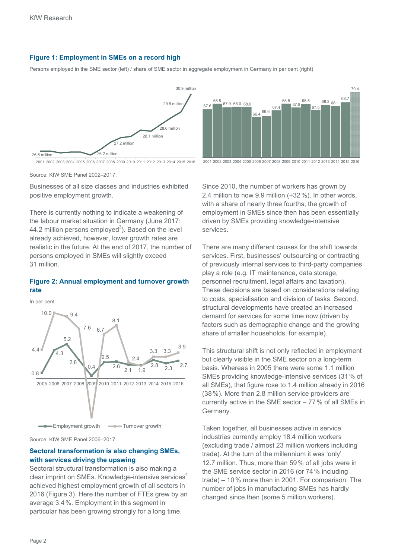# **Figure 1: Employment in SMEs on a record high**

Persons employed in the SME sector (left) / share of SME sector in aggregate employment in Germany in per cent (right)







2001 2002 2003 2004 2005 2006 2007 2008 2009 2010 2011 2012 2013 2014 2015 2016

Source: KfW SME Panel 2002–2017.

Businesses of all size classes and industries exhibited positive employment growth.

There is currently nothing to indicate a weakening of the labour market situation in Germany (June 2017: 44.2 million persons employed<sup>3</sup>). Based on the level already achieved, however, lower growth rates are realistic in the future. At the end of 2017, the number of persons employed in SMEs will slightly exceed 31 million.

# **Figure 2: Annual employment and turnover growth rate**

In per cent



Source: KfW SME Panel 2006–2017.

# **Sectoral transformation is also changing SMEs, with services driving the upswing**

Sectoral structural transformation is also making a clear imprint on SMEs. Knowledge-intensive services<sup>4</sup> achieved highest employment growth of all sectors in 2016 (Figure 3). Here the number of FTEs grew by an average 3.4%. Employment in this segment in particular has been growing strongly for a long time.

Since 2010, the number of workers has grown by 2.4 million to now 9.9 million (+32%). In other words, with a share of nearly three fourths, the growth of employment in SMEs since then has been essentially driven by SMEs providing knowledge-intensive services.

There are many different causes for the shift towards services. First, businesses' outsourcing or contracting of previously internal services to third-party companies play a role (e.g. IT maintenance, data storage, personnel recruitment, legal affairs and taxation). These decisions are based on considerations relating to costs, specialisation and division of tasks. Second, structural developments have created an increased demand for services for some time now (driven by factors such as demographic change and the growing share of smaller households, for example).

This structural shift is not only reflected in employment but clearly visible in the SME sector on a long-term basis. Whereas in 2005 there were some 1.1 million SMEs providing knowledge-intensive services (31% of all SMEs), that figure rose to 1.4 million already in 2016 (38%). More than 2.8 million service providers are currently active in the SME sector – 77% of all SMEs in Germany.

Taken together, all businesses active in service industries currently employ 18.4 million workers (excluding trade / almost 23 million workers including trade). At the turn of the millennium it was 'only' 12.7 million. Thus, more than 59% of all jobs were in the SME service sector in 2016 (or 74% including trade) – 10% more than in 2001. For comparison: The number of jobs in manufacturing SMEs has hardly changed since then (some 5 million workers).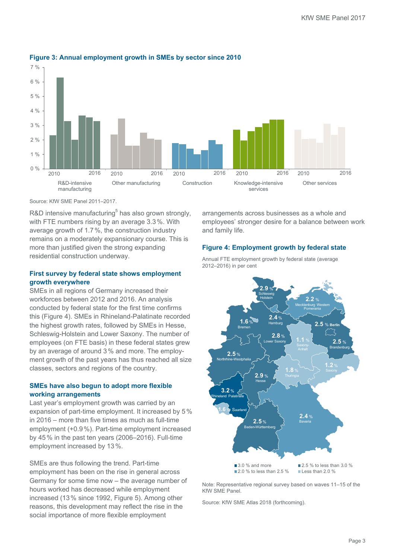

# **Figure 3: Annual employment growth in SMEs by sector since 2010**

Source: KfW SME Panel 2011–2017.

R&D intensive manufacturing<sup>5</sup> has also grown strongly, with FTE numbers rising by an average 3.3%. With average growth of 1.7%, the construction industry remains on a moderately expansionary course. This is more than justified given the strong expanding residential construction underway.

# **First survey by federal state shows employment growth everywhere**

SMEs in all regions of Germany increased their workforces between 2012 and 2016. An analysis conducted by federal state for the first time confirms this (Figure 4). SMEs in Rhineland-Palatinate recorded the highest growth rates, followed by SMEs in Hesse, Schleswig-Holstein and Lower Saxony. The number of employees (on FTE basis) in these federal states grew by an average of around 3% and more. The employment growth of the past years has thus reached all size classes, sectors and regions of the country.

# **SMEs have also begun to adopt more flexible working arrangements**

Last year's employment growth was carried by an expansion of part-time employment. It increased by 5% in 2016 – more than five times as much as full-time employment (+0.9%). Part-time employment increased by 45% in the past ten years (2006–2016). Full-time employment increased by 13%.

SMEs are thus following the trend. Part-time employment has been on the rise in general across Germany for some time now – the average number of hours worked has decreased while employment increased (13% since 1992, Figure 5). Among other reasons, this development may reflect the rise in the social importance of more flexible employment

arrangements across businesses as a whole and employees' stronger desire for a balance between work and family life.

# **Figure 4: Employment growth by federal state**



Annual FTE employment growth by federal state (average 2012–2016) in per cent

Note: Representative regional survey based on waves 11–15 of the KfW SME Panel.

Source: KfW SME Atlas 2018 (forthcoming).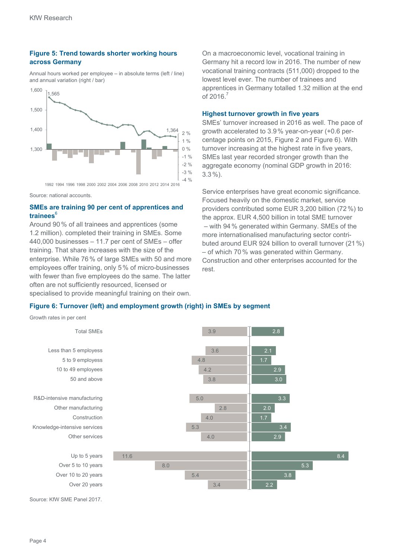# **Figure 5: Trend towards shorter working hours across Germany**

Annual hours worked per employee – in absolute terms (left / line) and annual variation (right / bar)



Source: national accounts.

# **SMEs are training 90 per cent of apprentices and trainees**<sup>6</sup>

Around 90% of all trainees and apprentices (some 1.2 million). completed their training in SMEs. Some 440,000 businesses – 11.7 per cent of SMEs – offer training. That share increases with the size of the enterprise. While 76% of large SMEs with 50 and more employees offer training, only 5% of micro-businesses with fewer than five employees do the same. The latter often are not sufficiently resourced, licensed or specialised to provide meaningful training on their own.

On a macroeconomic level, vocational training in Germany hit a record low in 2016. The number of new vocational training contracts (511,000) dropped to the lowest level ever. The number of trainees and apprentices in Germany totalled 1.32 million at the end of  $2016.<sup>7</sup>$ 

# **Highest turnover growth in five years**

SMEs' turnover increased in 2016 as well. The pace of growth accelerated to 3.9% year-on-year (+0.6 percentage points on 2015, Figure 2 and Figure 6). With turnover increasing at the highest rate in five years, SMEs last year recorded stronger growth than the aggregate economy (nominal GDP growth in 2016: 3.3%).

Service enterprises have great economic significance. Focused heavily on the domestic market, service providers contributed some EUR 3,200 billion (72%) to the approx. EUR 4,500 billion in total SME turnover – with 94% generated within Germany. SMEs of the more internationalised manufacturing sector contributed around EUR 924 billion to overall turnover (21%) – of which 70% was generated within Germany. Construction and other enterprises accounted for the rest.

8.4

5.3

# **Figure 6: Turnover (left) and employment growth (right) in SMEs by segment**

Growth rates in per cent Source: KfW SME Panel 2017. 2.8 2.1 2.9 3.0 3.3 2.0 3.4 2.9 3.8 2.2 3.9 3.6 4.8 4.2 3.8 5.0 2.8 4.0 5.3 4.0 11.6 8.0 5.4 3.4 Total SMEs Less than 5 employess 5 to 9 employess 10 to 49 employees 50 and above R&D-intensive manufacturing Other manufacturing Construction Knowledge-intensive services Other services Up to 5 years Over 5 to 10 years Over 10 to 20 years Over 20 years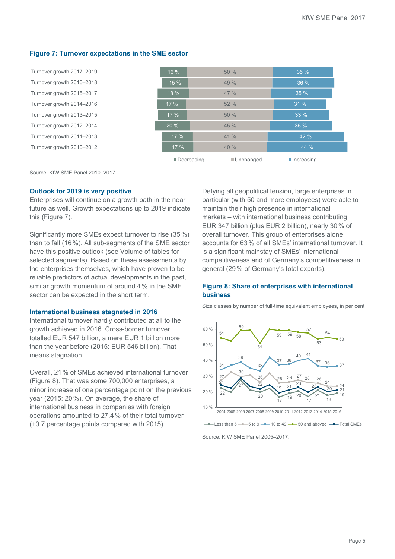# **Figure 7: Turnover expectations in the SME sector**

| Turnover growth 2017-2019 | 16 %                      | 50%       | 35%                       |
|---------------------------|---------------------------|-----------|---------------------------|
| Turnover growth 2016-2018 | 15%                       | 49%       | 36%                       |
| Turnover growth 2015-2017 | 18 %                      | 47 %      | 35%                       |
| Turnover growth 2014-2016 | 17 %                      | 52%       | 31%                       |
| Turnover growth 2013-2015 | 17%                       | 50%       | 33 %                      |
| Turnover growth 2012-2014 | 20%                       | 45%       | 35%                       |
| Turnover growth 2011-2013 | 17%                       | $41\%$    | 42 %                      |
| Turnover growth 2010-2012 | 17%                       | 40%       | 44%                       |
|                           | $\blacksquare$ Decreasing | Unchanged | $\blacksquare$ Increasing |

Source: KfW SME Panel 2010–2017.

# **Outlook for 2019 is very positive**

Enterprises will continue on a growth path in the near future as well. Growth expectations up to 2019 indicate this (Figure 7).

Significantly more SMEs expect turnover to rise (35 %) than to fall (16%). All sub-segments of the SME sector have this positive outlook (see Volume of tables for selected segments). Based on these assessments by the enterprises themselves, which have proven to be reliable predictors of actual developments in the past, similar growth momentum of around 4% in the SME sector can be expected in the short term.

#### **International business stagnated in 2016**

International turnover hardly contributed at all to the growth achieved in 2016. Cross-border turnover totalled EUR 547 billion, a mere EUR 1 billion more than the year before (2015: EUR 546 billion). That means stagnation.

Overall, 21% of SMEs achieved international turnover (Figure 8). That was some 700,000 enterprises, a minor increase of one percentage point on the previous year (2015: 20%). On average, the share of international business in companies with foreign operations amounted to 27.4% of their total turnover (+0.7 percentage points compared with 2015).

Defying all geopolitical tension, large enterprises in particular (with 50 and more employees) were able to maintain their high presence in international markets – with international business contributing EUR 347 billion (plus EUR 2 billion), nearly 30% of overall turnover. This group of enterprises alone accounts for 63% of all SMEs' international turnover. It is a significant mainstay of SMEs' international competitiveness and of Germany's competitiveness in general (29% of Germany's total exports).

# **Figure 8: Share of enterprises with international business**

Size classes by number of full-time equivalent employees, in per cent



Less than  $5 \rightarrow 5$  to  $9 \rightarrow 10$  to  $49 \rightarrow 50$  and aboved  $\rightarrow$ Total SMEs

Source: KfW SME Panel 2005–2017.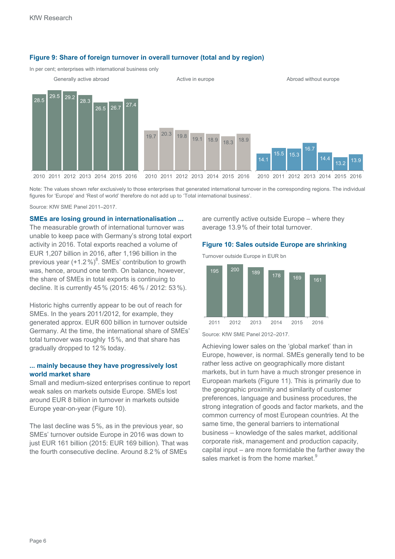

### **Figure 9: Share of foreign turnover in overall turnover (total and by region)**

In per cent; enterprises with international business only

Note: The values shown refer exclusively to those enterprises that generated international turnover in the corresponding regions. The individual figures for 'Europe' and 'Rest of world' therefore do not add up to 'Total international business'.

Source: KfW SME Panel 2011–2017.

**SMEs are losing ground in internationalisation ...**  The measurable growth of international turnover was unable to keep pace with Germany's strong total export activity in 2016. Total exports reached a volume of EUR 1,207 billion in 2016, after 1,196 billion in the previous year  $(+1.2\%)^8$ . SMEs' contribution to growth was, hence, around one tenth. On balance, however, the share of SMEs in total exports is continuing to decline. It is currently 45% (2015: 46% / 2012: 53%).

Historic highs currently appear to be out of reach for SMEs. In the years 2011/2012, for example, they generated approx. EUR 600 billion in turnover outside Germany. At the time, the international share of SMEs' total turnover was roughly 15%, and that share has gradually dropped to 12% today.

# **... mainly because they have progressively lost world market share**

Small and medium-sized enterprises continue to report weak sales on markets outside Europe. SMEs lost around EUR 8 billion in turnover in markets outside Europe year-on-year (Figure 10).

The last decline was 5%, as in the previous year, so SMEs' turnover outside Europe in 2016 was down to just EUR 161 billion (2015: EUR 169 billion). That was the fourth consecutive decline. Around 8.2% of SMEs

are currently active outside Europe – where they average 13.9% of their total turnover.

#### **Figure 10: Sales outside Europe are shrinking**

Turnover outside Europe in EUR bn



Source: KfW SME Panel 2012–2017.

Achieving lower sales on the 'global market' than in Europe, however, is normal. SMEs generally tend to be rather less active on geographically more distant markets, but in turn have a much stronger presence in European markets (Figure 11). This is primarily due to the geographic proximity and similarity of customer preferences, language and business procedures, the strong integration of goods and factor markets, and the common currency of most European countries. At the same time, the general barriers to international business – knowledge of the sales market, additional corporate risk, management and production capacity, capital input – are more formidable the farther away the sales market is from the home market.<sup>9</sup>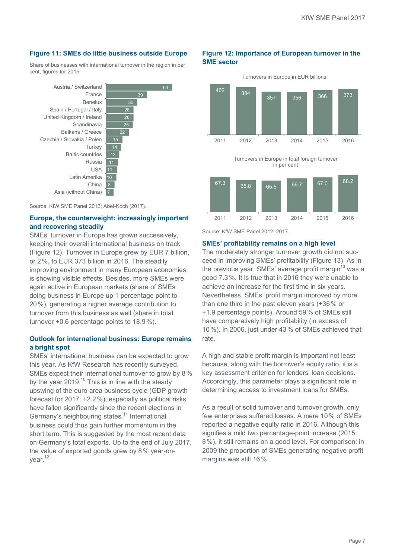# **Figure 11: SMEs do little business outside Europe**

Share of businesses with international turnover in the region in per cent, figures for 2015

26 26 25 15 12 11  $\overline{10}$  $\overline{11}$ 7 Austria / Switzerland France Benelux Spain / Portugal / Italy United Kingdom / Ireland **Scandinavia** Balkans / Greece Czechia / Slovakia / Polen **Turkey** Baltic countries Russia USA Latin Amerika China Asia (without China)

Source: KfW SME Panel 2016; Abel-Koch (2017).

# **Europe, the counterweight: increasingly important and recovering steadily**

SMEs' turnover in Europe has grown successively, keeping their overall international business on track (Figure 12). Turnover in Europe grew by EUR 7 billion, or 2%, to EUR 373 billion in 2016. The steadily improving environment in many European economies is showing visible effects. Besides, more SMEs were again active in European markets (share of SMEs doing business in Europe up 1 percentage point to 20%), generating a higher average contribution to turnover from this business as well (share in total turnover +0.6 percentage points to 18.9%).

# **Outlook for international business: Europe remains a bright spot**

SMEs' international business can be expected to grow this year. As KfW Research has recently surveyed, SMEs expect their international turnover to grow by 8% by the year 2019.<sup>10</sup> This is in line with the steady upswing of the euro area business cycle (GDP growth forecast for 2017: +2.2%), especially as political risks have fallen significantly since the recent elections in Germany's neighbouring states.<sup>11</sup> International business could thus gain further momentum in the short term. This is suggested by the most recent data on Germany's total exports. Up to the end of July 2017, the value of exported goods grew by 8% year-onyear.<sup>12</sup>

# **Figure 12: Importance of European turnover in the SME sector**



Turnovers in Europe in total foreign turnover in per cent



Source: KfW SME Panel 2012–2017.

#### **SMEs' profitability remains on a high level**

The moderately stronger turnover growth did not succeed in improving SMEs' profitability (Figure 13). As in the previous year, SMEs' average profit margin<sup>13</sup> was a good 7.3%. It is true that in 2016 they were unable to achieve an increase for the first time in six years. Nevertheless, SMEs' profit margin improved by more than one third in the past eleven years (+36% or +1.9 percentage points). Around 59% of SMEs still have comparatively high profitability (in excess of 10%). In 2006, just under 43% of SMEs achieved that rate.

A high and stable profit margin is important not least because, along with the borrower's equity ratio, it is a key assessment criterion for lenders' loan decisions. Accordingly, this parameter plays a significant role in determining access to investment loans for SMEs.

As a result of solid turnover and turnover growth, only few enterprises suffered losses. A mere 10% of SMEs reported a negative equity ratio in 2016. Although this signifies a mild two percentage-point increase (2015: 8%), it still remains on a good level. For comparison: in 2009 the proportion of SMEs generating negative profit margins was still 16%.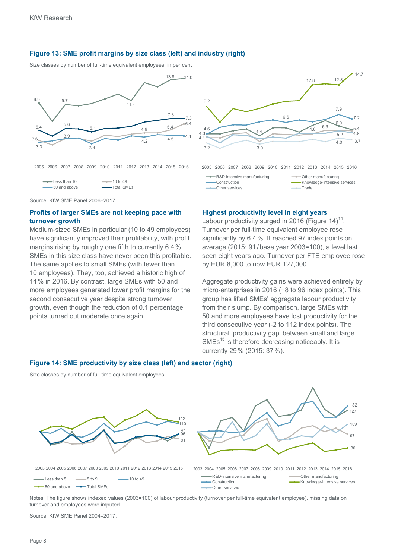# **Figure 13: SME profit margins by size class (left) and industry (right)**

Size classes by number of full-time equivalent employees, in per cent





Source: KfW SME Panel 2006–2017.

# **Profits of larger SMEs are not keeping pace with turnover growth**

Medium-sized SMEs in particular (10 to 49 employees) have significantly improved their profitability, with profit margins rising by roughly one fifth to currently 6.4%. SMEs in this size class have never been this profitable. The same applies to small SMEs (with fewer than 10 employees). They, too, achieved a historic high of 14% in 2016. By contrast, large SMEs with 50 and more employees generated lower profit margins for the second consecutive year despite strong turnover growth, even though the reduction of 0.1 percentage points turned out moderate once again.

#### **Highest productivity level in eight years**

Labour productivity surged in 2016 (Figure 14)<sup>14</sup>. Turnover per full-time equivalent employee rose significantly by 6.4%. It reached 97 index points on average (2015: 91 /base year 2003=100), a level last seen eight years ago. Turnover per FTE employee rose by EUR 8,000 to now EUR 127,000.

Aggregate productivity gains were achieved entirely by micro-enterprises in 2016 (+8 to 96 index points). This group has lifted SMEs' aggregate labour productivity from their slump. By comparison, large SMEs with 50 and more employees have lost productivity for the third consecutive year (-2 to 112 index points). The structural 'productivity gap' between small and large  $SMEs<sup>15</sup>$  is therefore decreasing noticeably. It is currently 29% (2015: 37%).

#### **Figure 14: SME productivity by size class (left) and sector (right)**

Size classes by number of full-time equivalent employees



Notes: The figure shows indexed values (2003=100) of labour productivity (turnover per full-time equivalent employee), missing data on turnover and employees were imputed.

Source: KfW SME Panel 2004–2017.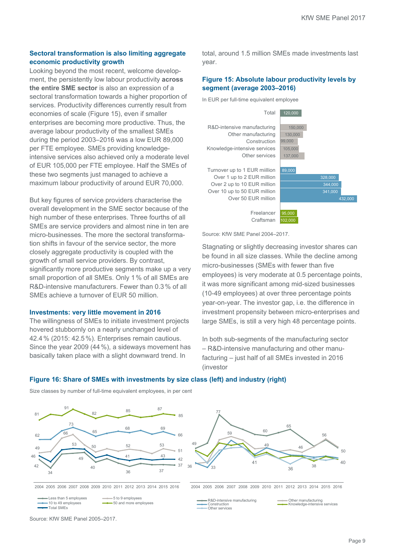# **Sectoral transformation is also limiting aggregate economic productivity growth**

Looking beyond the most recent, welcome development, the persistently low labour productivity **across the entire SME sector** is also an expression of a sectoral transformation towards a higher proportion of services. Productivity differences currently result from economies of scale (Figure 15), even if smaller enterprises are becoming more productive. Thus, the average labour productivity of the smallest SMEs during the period 2003–2016 was a low EUR 89,000 per FTE employee. SMEs providing knowledgeintensive services also achieved only a moderate level of EUR 105,000 per FTE employee. Half the SMEs of these two segments just managed to achieve a maximum labour productivity of around EUR 70,000.

But key figures of service providers characterise the overall development in the SME sector because of the high number of these enterprises. Three fourths of all SMEs are service providers and almost nine in ten are micro-businesses. The more the sectoral transformation shifts in favour of the service sector, the more closely aggregate productivity is coupled with the growth of small service providers. By contrast, significantly more productive segments make up a very small proportion of all SMEs. Only 1% of all SMEs are R&D-intensive manufacturers. Fewer than 0.3% of all SMEs achieve a turnover of EUR 50 million.

# **Investments: very little movement in 2016**

The willingness of SMEs to initiate investment projects hovered stubbornly on a nearly unchanged level of 42.4% (2015: 42.5%). Enterprises remain cautious. Since the year 2009 (44%), a sideways movement has basically taken place with a slight downward trend. In

total, around 1.5 million SMEs made investments last year.

# **Figure 15: Absolute labour productivity levels by segment (average 2003–2016)**

In EUR per full-time equivalent employee



Source: KfW SME Panel 2004–2017.

Stagnating or slightly decreasing investor shares can be found in all size classes. While the decline among micro-businesses (SMEs with fewer than five employees) is very moderate at 0.5 percentage points, it was more significant among mid-sized businesses (10-49 employees) at over three percentage points year-on-year. The investor gap, i.e. the difference in investment propensity between micro-enterprises and large SMEs, is still a very high 48 percentage points.

In both sub-segments of the manufacturing sector – R&D-intensive manufacturing and other manufacturing – just half of all SMEs invested in 2016 (investor

# **Figure 16: Share of SMEs with investments by size class (left) and industry (right)**



Size classes by number of full-time equivalent employees, in per cent

Source: KfW SME Panel 2005–2017.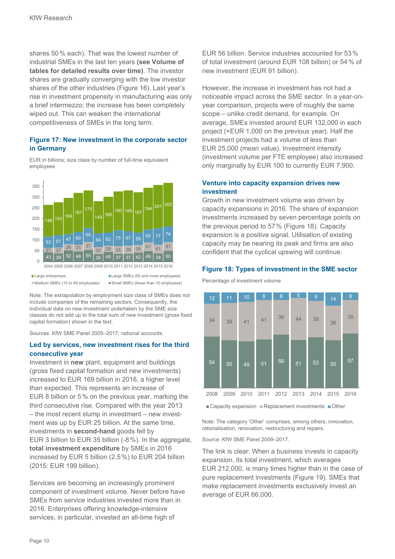shares 50% each). That was the lowest number of industrial SMEs in the last ten years **(see Volume of tables for detailed results over time)**. The investor shares are gradually converging with the low investor shares of the other industries (Figure 16). Last year's rise in investment propensity in manufacturing was only a brief intermezzo; the increase has been completely wiped out. This can weaken the international competitiveness of SMEs in the long term.

# **Figure 17: New investment in the corporate sector in Germany**

EUR in billions; size class by number of full-time equivalent employees



Note: The extrapolation by employment size class of SMEs does not include companies of the remaining sectors. Consequently, the individual data on new investment undertaken by the SME size classes do not add up to the total sum of new investment (gross fixed capital formation) shown in the text.

Sources: KfW SME Panel 2005–2017; national accounts.

# **Led by services, new investment rises for the third consecutive year**

Investment in **new** plant, equipment and buildings (gross fixed capital formation and new investments) increased to EUR 169 billion in 2016, a higher level than expected. This represents an increase of EUR 8 billion or 5% on the previous year, marking the third consecutive rise. Compared with the year 2013 – the most recent slump in investment – new investment was up by EUR 25 billion. At the same time, investments in **second-hand** goods fell by EUR 3 billion to EUR 35 billion (-8%). In the aggregate, **total investment expenditure** by SMEs in 2016 increased by EUR 5 billion (2.5%) to EUR 204 billion (2015: EUR 199 billion).

Services are becoming an increasingly prominent component of investment volume. Never before have SMEs from service industries invested more than in 2016. Enterprises offering knowledge-intensive services, in particular, invested an all-time high of

EUR 56 billion. Service industries accounted for 53% of total investment (around EUR 108 billion) or 54% of new investment (EUR 91 billion).

However, the increase in investment has not had a noticeable impact across the SME sector. In a year-onyear comparison, projects were of roughly the same scope – unlike credit demand, for example. On average, SMEs invested around EUR 132,000 in each project (+EUR 1,000 on the previous year). Half the investment projects had a volume of less than EUR 25,000 (mean value). Investment intensity (investment volume per FTE employee) also increased only marginally by EUR 100 to currently EUR 7,900.

# **Venture into capacity expansion drives new investment**

Growth in new investment volume was driven by capacity expansions in 2016. The share of expansion investments increased by seven percentage points on the previous period to 57% (Figure 18). Capacity expansion is a positive signal. Utilisation of existing capacity may be nearing its peak and firms are also confident that the cyclical upswing will continue.

# **Figure 18: Types of investment in the SME sector**

Percentage of investment volume



 $\blacksquare$  Capacity expansion  $\blacksquare$  Replacement investments  $\blacksquare$  Other

Note: The category 'Other' comprises, among others, innovation, rationalisation, renovation, restructuring and repairs.

Source: KfW SME Panel 2009–2017.

The link is clear: When a business invests in capacity expansion, its total investment, which averages EUR 212,000, is many times higher than in the case of pure replacement investments (Figure 19). SMEs that make replacement investments exclusively invest an average of EUR 66,000.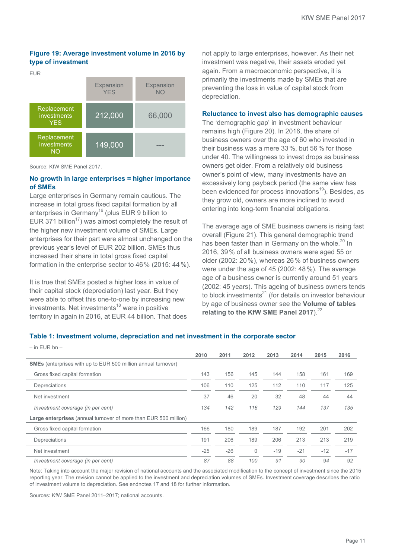# **Figure 19: Average investment volume in 2016 by type of investment**

EUR



Source: KfW SME Panel 2017.

# **No growth in large enterprises = higher importance of SMEs**

Large enterprises in Germany remain cautious. The increase in total gross fixed capital formation by all enterprises in Germany<sup>16</sup> (plus EUR 9 billion to EUR 371 billion<sup>17</sup>) was almost completely the result of the higher new investment volume of SMEs. Large enterprises for their part were almost unchanged on the previous year's level of EUR 202 billion. SMEs thus increased their share in total gross fixed capital formation in the enterprise sector to 46% (2015: 44%).

It is true that SMEs posted a higher loss in value of their capital stock (depreciation) last year. But they were able to offset this one-to-one by increasing new investments. Net investments<sup>18</sup> were in positive territory in again in 2016, at EUR 44 billion. That does not apply to large enterprises, however. As their net investment was negative, their assets eroded yet again. From a macroeconomic perspective, it is primarily the investments made by SMEs that are preventing the loss in value of capital stock from depreciation.

#### **Reluctance to invest also has demographic causes**

The 'demographic gap' in investment behaviour remains high (Figure 20). In 2016, the share of business owners over the age of 60 who invested in their business was a mere 33%, but 56% for those under 40. The willingness to invest drops as business owners get older. From a relatively old business owner's point of view, many investments have an excessively long payback period (the same view has been evidenced for process innovations<sup>19</sup>). Besides, as they grow old, owners are more inclined to avoid entering into long-term financial obligations.

The average age of SME business owners is rising fast overall (Figure 21). This general demographic trend has been faster than in Germany on the whole.<sup>20</sup> In 2016, 39% of all business owners were aged 55 or older (2002: 20%), whereas 26% of business owners were under the age of 45 (2002: 48%). The average age of a business owner is currently around 51 years (2002: 45 years). This ageing of business owners tends to block investments $^{21}$  (for details on investor behaviour by age of business owner see the **Volume of tables**  relating to the KfW SME Panel 2017).<sup>22</sup>

# **Table 1: Investment volume, depreciation and net investment in the corporate sector**

| $-$ in EUR bn $-$                                                       |       |       |              |       |       |       |       |
|-------------------------------------------------------------------------|-------|-------|--------------|-------|-------|-------|-------|
|                                                                         | 2010  | 2011  | 2012         | 2013  | 2014  | 2015  | 2016  |
| <b>SMEs</b> (enterprises with up to EUR 500 million annual turnover)    |       |       |              |       |       |       |       |
| Gross fixed capital formation                                           | 143   | 156   | 145          | 144   | 158   | 161   | 169   |
| Depreciations                                                           | 106   | 110   | 125          | 112   | 110   | 117   | 125   |
| Net investment                                                          | 37    | 46    | 20           | 32    | 48    | 44    | 44    |
| Investment coverage (in per cent)                                       | 134   | 142   | 116          | 129   | 144   | 137   | 135   |
| <b>Large enterprises</b> (annual turnover of more than EUR 500 million) |       |       |              |       |       |       |       |
| Gross fixed capital formation                                           | 166   | 180   | 189          | 187   | 192   | 201   | 202   |
| Depreciations                                                           | 191   | 206   | 189          | 206   | 213   | 213   | 219   |
| Net investment                                                          | $-25$ | $-26$ | $\mathbf{0}$ | $-19$ | $-21$ | $-12$ | $-17$ |
| Investment coverage (in per cent)                                       | 87    | 88    | 100          | 91    | 90    | 94    | 92    |

Note: Taking into account the major revision of national accounts and the associated modification to the concept of investment since the 2015 reporting year. The revision cannot be applied to the investment and depreciation volumes of SMEs. Investment coverage describes the ratio of investment volume to depreciation. See endnotes 17 and 18 for further information.

Sources: KfW SME Panel 2011–2017; national accounts.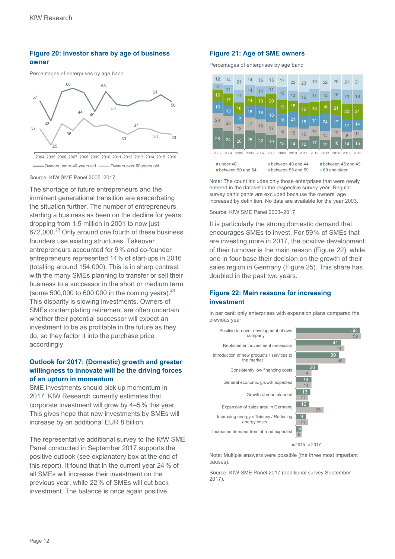# **Figure 20: Investor share by age of business owner**

Percentages of enterprises by age band



2004 2005 2006 2007 2008 2009 2010 2011 2012 2013 2014 2015 2016 Owners under 40-years old **Cambridge Company**<br>Owners under 40-years old **Cambridge Company** 

Source: KfW SME Panel 2005–2017.

The shortage of future entrepreneurs and the imminent generational transition are exacerbating the situation further. The number of entrepreneurs starting a business as been on the decline for years, dropping from 1.5 million in 2001 to now just 672,000.<sup>23</sup> Only around one fourth of these business founders use existing structures. Takeover entrepreneurs accounted for 9% and co-founder entrepreneurs represented 14% of start-ups in 2016 (totalling around 154,000). This is in sharp contrast with the many SMEs planning to transfer or sell their business to a successor in the short or medium term (some 500,000 to 600,000 in the coming years). $^{24}$ This disparity is slowing investments. Owners of SMEs contemplating retirement are often uncertain whether their potential successor will expect an investment to be as profitable in the future as they do, so they factor it into the purchase price accordingly.

# **Outlook for 2017: (Domestic) growth and greater willingness to innovate will be the driving forces of an upturn in momentum**

SME investments should pick up momentum in 2017. KfW Research currently estimates that corporate investment will grow by 4–5% this year. This gives hope that new investments by SMEs will increase by an additional EUR 8 billion.

The representative additional survey to the KfW SME Panel conducted in September 2017 supports the positive outlook (see explanatory box at the end of this report). It found that in the current year 24 % of all SMEs will increase their investment on the previous year, while 22% of SMEs will cut back investment. The balance is once again positive.

#### **Figure 21: Age of SME owners**

Percentages of enterprises by age band

|                                                                                                              | 12   | 14   | 21   | 14   | 16   | 15   | 17   | 22   | 23   | 19   | 22   | 20   | 21             | 21   |
|--------------------------------------------------------------------------------------------------------------|------|------|------|------|------|------|------|------|------|------|------|------|----------------|------|
|                                                                                                              | 8    | 11   |      | 14   | 14   | 11   | 18   |      |      |      |      |      |                |      |
|                                                                                                              | 15   | 17   | 17   | 14   | 13   | 20   |      | 13   | 16   | 17   | 14   | 15   | 19             | 18   |
|                                                                                                              | 16   | 13   | 16   | 16   | 18   |      | 19   | 15   | 16   | 18   | 16   | 21   | 20             | 21   |
| 20                                                                                                           |      | 20   | 13   | 17   |      | 18   | 16   | 21   |      | 14   | 24   |      |                |      |
|                                                                                                              |      |      | 13   |      | 18   | 17   |      |      | 18   |      |      | 17   | 17             | 14   |
|                                                                                                              |      |      |      |      |      |      | 16   | 15   | 15   | 14   | 13   | 12   | $\overline{9}$ | 11   |
|                                                                                                              | 28   | 24   | 20   | 25   | 22   | 19   | 15   | 14   | 12   | 17   | 12   | 16   | 14             | 15   |
|                                                                                                              | 2002 | 2004 | 2005 | 2006 | 2007 | 2008 | 2009 | 2010 | 2011 | 2012 | 2013 | 2014 | 2015           | 2016 |
| under 40<br>between 40 and 44<br>between 45 and 49<br>between 50 and 54<br>60 and older<br>between 55 and 59 |      |      |      |      |      |      |      |      |      |      |      |      |                |      |

Note: The count includes only those enterprises that were newly entered in the dataset in the respective survey year. Regular survey participants are excluded because the owners' age increased by definition. No data are available for the year 2003.

Source: KfW SME Panel 2003–2017.

It is particularly the strong domestic demand that encourages SMEs to invest. For 59% of SMEs that are investing more in 2017, the positive development of their turnover is the main reason (Figure 22), while one in four base their decision on the growth of their sales region in Germany (Figure 25). This share has doubled in the past two years.

# **Figure 22: Main reasons for increasing investment**

In per cent; only enterprises with expansion plans compared the previous year



Note: Multiple answers were possible (the three most important causes).

Source: KfW SME Panel 2017 (additional survey September 2017).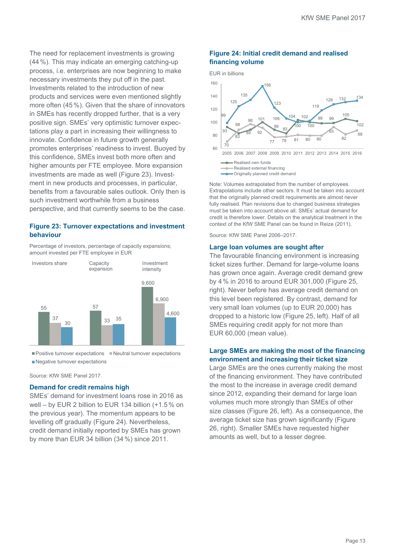The need for replacement investments is growing (44%). This may indicate an emerging catching-up process, i.e. enterprises are now beginning to make necessary investments they put off in the past. Investments related to the introduction of new products and services were even mentioned slightly more often (45%). Given that the share of innovators in SMEs has recently dropped further, that is a very positive sign. SMEs' very optimistic turnover expectations play a part in increasing their willingness to innovate. Confidence in future growth generally promotes enterprises' readiness to invest. Buoyed by this confidence, SMEs invest both more often and higher amounts per FTE employee. More expansion investments are made as well (Figure 23). Investment in new products and processes, in particular, benefits from a favourable sales outlook. Only then is such investment worthwhile from a business perspective, and that currently seems to be the case.

# **Figure 23: Turnover expectations and investment behaviour**

Percentage of investors, percentage of capacity expansions; amount invested per FTE employee in EUR



 $\blacksquare$  Positive turnover expectations  $\blacksquare$  Neutral turnover expectations Negative turnover expectations

Source: KfW SME Panel 2017.

#### **Demand for credit remains high**

SMEs' demand for investment loans rose in 2016 as well – by EUR 2 billion to EUR 134 billion (+1.5% on the previous year). The momentum appears to be levelling off gradually (Figure 24). Nevertheless, credit demand initially reported by SMEs has grown by more than EUR 34 billion (34%) since 2011.

# **Figure 24: Initial credit demand and realised financing volume**



Note: Volumes extrapolated from the number of employees. Extrapolations include other sectors. It must be taken into account that the originally planned credit requirements are almost never fully realised. Plan revisions due to changed business strategies must be taken into account above all. SMEs' actual demand for credit is therefore lower. Details on the analytical treatment in the context of the KfW SME Panel can be found in Reize (2011).

Source: KfW SME Panel 2006–2017.

#### **Large loan volumes are sought after**

The favourable financing environment is increasing ticket sizes further. Demand for large-volume loans has grown once again. Average credit demand grew by 4% in 2016 to around EUR 301,000 (Figure 25, right). Never before has average credit demand on this level been registered. By contrast, demand for very small loan volumes (up to EUR 20,000) has dropped to a historic low (Figure 25, left). Half of all SMEs requiring credit apply for not more than EUR 60,000 (mean value).

#### **Large SMEs are making the most of the financing environment and increasing their ticket size**

Large SMEs are the ones currently making the most of the financing environment. They have contributed the most to the increase in average credit demand since 2012, expanding their demand for large loan volumes much more strongly than SMEs of other size classes (Figure 26, left). As a consequence, the average ticket size has grown significantly (Figure 26, right). Smaller SMEs have requested higher amounts as well, but to a lesser degree.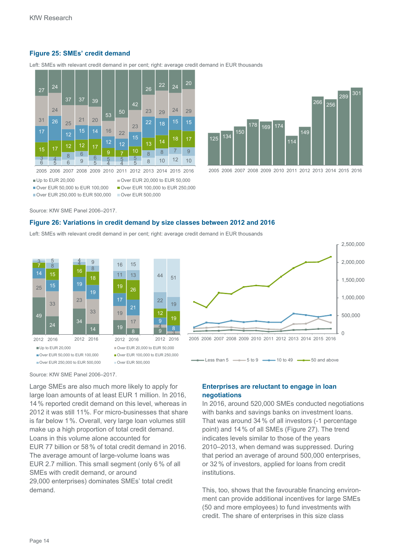# **Figure 25: SMEs' credit demand**

Left: SMEs with relevant credit demand in per cent; right: average credit demand in EUR thousands



Up to EUR 20,000  $\blacksquare$  Over EUR 20,000 to EUR 50,000

■ Over EUR 50,000 to EUR 100,000 ■ Over EUR 100,000 to EUR 250,000





Over EUR 250,000 to EUR 500,000 Over EUR 500,000



Source: KfW SME Panel 2006–2017.

#### **Figure 26: Variations in credit demand by size classes between 2012 and 2016**

Left: SMEs with relevant credit demand in per cent; right: average credit demand in EUR thousands





 $\equiv$  Less than 5  $\equiv$   $\equiv$  5 to 9  $\equiv$  10 to 49  $\equiv$  50 and above

Source: KfW SME Panel 2006–2017.

Large SMEs are also much more likely to apply for large loan amounts of at least EUR 1 million. In 2016, 14% reported credit demand on this level, whereas in 2012 it was still 11%. For micro-businesses that share is far below 1%. Overall, very large loan volumes still make up a high proportion of total credit demand. Loans in this volume alone accounted for EUR 77 billion or 58% of total credit demand in 2016. The average amount of large-volume loans was EUR 2.7 million. This small segment (only 6% of all SMEs with credit demand, or around 29,000 enterprises) dominates SMEs' total credit demand.

# **Enterprises are reluctant to engage in loan negotiations**

In 2016, around 520,000 SMEs conducted negotiations with banks and savings banks on investment loans. That was around 34% of all investors (-1 percentage point) and 14% of all SMEs (Figure 27). The trend indicates levels similar to those of the years 2010–2013, when demand was suppressed. During that period an average of around 500,000 enterprises, or 32% of investors, applied for loans from credit institutions.

This, too, shows that the favourable financing environment can provide additional incentives for large SMEs (50 and more employees) to fund investments with credit. The share of enterprises in this size class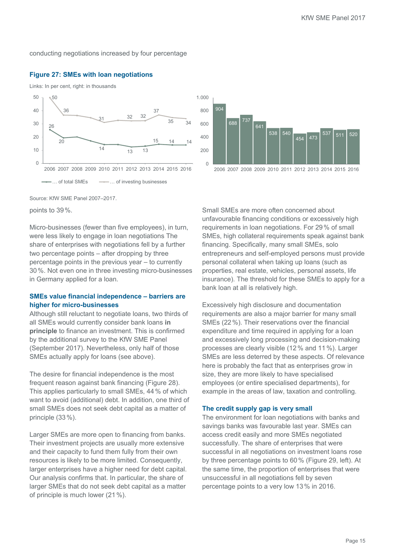conducting negotiations increased by four percentage

#### **Figure 27: SMEs with loan negotiations**

Links: In per cent, right: in thousands





Source: KfW SME Panel 2007–2017.

points to 39%.

Micro-businesses (fewer than five employees), in turn, were less likely to engage in loan negotiations The share of enterprises with negotiations fell by a further two percentage points – after dropping by three percentage points in the previous year – to currently 30%. Not even one in three investing micro-businesses in Germany applied for a loan.

# **SMEs value financial independence – barriers are higher for micro-businesses**

Although still reluctant to negotiate loans, two thirds of all SMEs would currently consider bank loans **in principle** to finance an investment. This is confirmed by the additional survey to the KfW SME Panel (September 2017). Nevertheless, only half of those SMEs actually apply for loans (see above).

The desire for financial independence is the most frequent reason against bank financing (Figure 28). This applies particularly to small SMEs, 44% of which want to avoid (additional) debt. In addition, one third of small SMEs does not seek debt capital as a matter of principle (33%).

Larger SMEs are more open to financing from banks. Their investment projects are usually more extensive and their capacity to fund them fully from their own resources is likely to be more limited. Consequently, larger enterprises have a higher need for debt capital. Our analysis confirms that. In particular, the share of larger SMEs that do not seek debt capital as a matter of principle is much lower (21%).

Small SMEs are more often concerned about unfavourable financing conditions or excessively high requirements in loan negotiations. For 29% of small SMEs, high collateral requirements speak against bank financing. Specifically, many small SMEs, solo entrepreneurs and self-employed persons must provide personal collateral when taking up loans (such as properties, real estate, vehicles, personal assets, life insurance). The threshold for these SMEs to apply for a bank loan at all is relatively high.

Excessively high disclosure and documentation requirements are also a major barrier for many small SMEs (22%). Their reservations over the financial expenditure and time required in applying for a loan and excessively long processing and decision-making processes are clearly visible (12% and 11%). Larger SMEs are less deterred by these aspects. Of relevance here is probably the fact that as enterprises grow in size, they are more likely to have specialised employees (or entire specialised departments), for example in the areas of law, taxation and controlling.

#### **The credit supply gap is very small**

The environment for loan negotiations with banks and savings banks was favourable last year. SMEs can access credit easily and more SMEs negotiated successfully. The share of enterprises that were successful in all negotiations on investment loans rose by three percentage points to 60% (Figure 29, left). At the same time, the proportion of enterprises that were unsuccessful in all negotiations fell by seven percentage points to a very low 13% in 2016.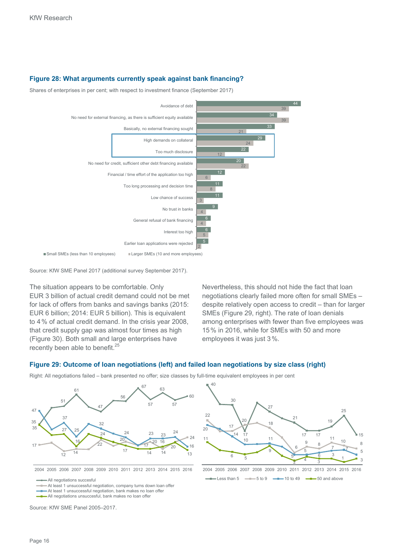# **Figure 28: What arguments currently speak against bank financing?**

Shares of enterprises in per cent; with respect to investment finance (September 2017)



Source: KfW SME Panel 2017 (additional survey September 2017).

The situation appears to be comfortable. Only EUR 3 billion of actual credit demand could not be met for lack of offers from banks and savings banks (2015: EUR 6 billion; 2014: EUR 5 billion). This is equivalent to 4% of actual credit demand. In the crisis year 2008, that credit supply gap was almost four times as high (Figure 30). Both small and large enterprises have recently been able to benefit.<sup>25</sup>

Nevertheless, this should not hide the fact that loan negotiations clearly failed more often for small SMEs – despite relatively open access to credit – than for larger SMEs (Figure 29, right). The rate of loan denials among enterprises with fewer than five employees was 15% in 2016, while for SMEs with 50 and more employees it was just 3%.

# **Figure 29: Outcome of loan negotiations (left) and failed loan negotiations by size class (right)**



Right: All negotiations failed – bank presented no offer; size classes by full-time equivalent employees in per cent

2004 2005 2006 2007 2008 2009 2010 2011 2012 2013 2014 2015 2016

All negotiations succesful

At least 1 unsuccessful negotiation, company turns down loan offer

At least 1 unsuccessful negotiation, bank makes no loan offer

All negotiations unsuccesful, bank makes no loan offer

Source: KfW SME Panel 2005–2017.



 $\frac{1}{\sqrt{1-\frac{1}{\sqrt{1-\frac{1}{\sqrt{1-\frac{1}{\sqrt{1-\frac{1}{\sqrt{1-\frac{1}{\sqrt{1-\frac{1}{\sqrt{1-\frac{1}{\sqrt{1-\frac{1}{\sqrt{1-\frac{1}{\sqrt{1-\frac{1}{\sqrt{1-\frac{1}{\sqrt{1-\frac{1}{\sqrt{1-\frac{1}{\sqrt{1-\frac{1}{\sqrt{1-\frac{1}{\sqrt{1-\frac{1}{\sqrt{1-\frac{1}{\sqrt{1-\frac{1}{\sqrt{1-\frac{1}{\sqrt{1-\frac{1}{\sqrt{1-\frac{1}{\sqrt{1-\frac{1}{\sqrt{1-\frac{1}{\sqrt{1-\frac{1$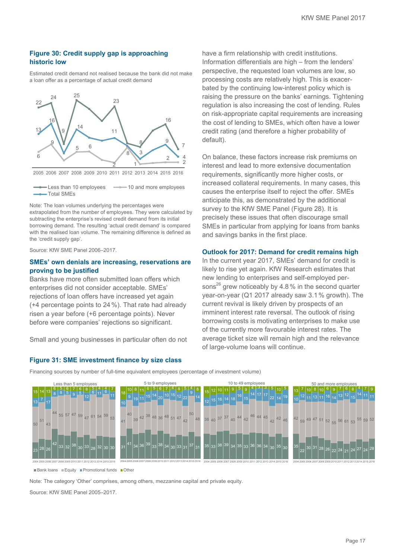# **Figure 30: Credit supply gap is approaching historic low**

Estimated credit demand not realised because the bank did not make a loan offer as a percentage of actual credit demand



2005 2006 2007 2008 2009 2010 2011 2012 2013 2014 2015 2016

 $-$  Less than 10 employees  $-$  10 and more employees Total SMEs

Note: The loan volumes underlying the percentages were extrapolated from the number of employees. They were calculated by subtracting the enterprise's revised credit demand from its initial borrowing demand. The resulting 'actual credit demand' is compared with the realised loan volume. The remaining difference is defined as the 'credit supply gap'.

Source: KfW SME Panel 2006–2017.

# **SMEs' own denials are increasing, reservations are proving to be justified**

Banks have more often submitted loan offers which enterprises did not consider acceptable. SMEs' rejections of loan offers have increased yet again (+4 percentage points to 24%). That rate had already risen a year before (+6 percentage points). Never before were companies' rejections so significant.

Small and young businesses in particular often do not

# **Figure 31: SME investment finance by size class**

have a firm relationship with credit institutions. Information differentials are high – from the lenders' perspective, the requested loan volumes are low, so processing costs are relatively high. This is exacerbated by the continuing low-interest policy which is raising the pressure on the banks' earnings. Tightening regulation is also increasing the cost of lending. Rules on risk-appropriate capital requirements are increasing the cost of lending to SMEs, which often have a lower credit rating (and therefore a higher probability of default).

On balance, these factors increase risk premiums on interest and lead to more extensive documentation requirements, significantly more higher costs, or increased collateral requirements. In many cases, this causes the enterprise itself to reject the offer. SMEs anticipate this, as demonstrated by the additional survey to the KfW SME Panel (Figure 28). It is precisely these issues that often discourage small SMEs in particular from applying for loans from banks and savings banks in the first place.

#### **Outlook for 2017: Demand for credit remains high**

In the current year 2017, SMEs' demand for credit is likely to rise yet again. KfW Research estimates that new lending to enterprises and self-employed persons<sup>26</sup> grew noticeably by 4.8 % in the second quarter year-on-year (Q1 2017 already saw 3.1% growth). The current revival is likely driven by prospects of an imminent interest rate reversal. The outlook of rising borrowing costs is motivating enterprises to make use of the currently more favourable interest rates. The average ticket size will remain high and the relevance of large-volume loans will continue.





**Bank loans Equity Promotional funds Other** 

Note: The category 'Other' comprises, among others, mezzanine capital and private equity.

Source: KfW SME Panel 2005–2017.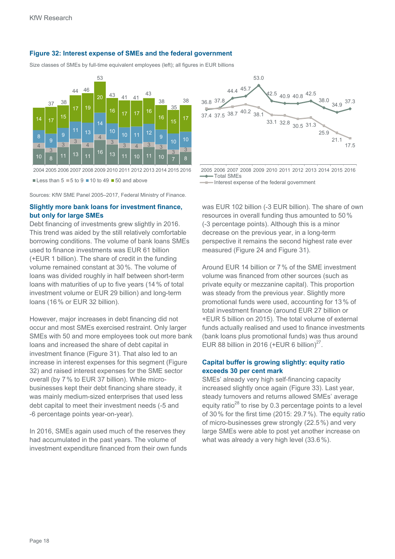# **Figure 32: Interest expense of SMEs and the federal government**

Size classes of SMEs by full-time equivalent employees (left); all figures in EUR billions



 $\blacksquare$  Less than 5  $\blacksquare$  5 to 9  $\blacksquare$  10 to 49  $\blacksquare$  50 and above

Sources: KfW SME Panel 2005–2017, Federal Ministry of Finance.

# **Slightly more bank loans for investment finance, but only for large SMEs**

Debt financing of investments grew slightly in 2016. This trend was aided by the still relatively comfortable borrowing conditions. The volume of bank loans SMEs used to finance investments was EUR 61 billion (+EUR 1 billion). The share of credit in the funding volume remained constant at 30%. The volume of loans was divided roughly in half between short-term loans with maturities of up to five years (14% of total investment volume or EUR 29 billion) and long-term loans (16% or EUR 32 billion).

However, major increases in debt financing did not occur and most SMEs exercised restraint. Only larger SMEs with 50 and more employees took out more bank loans and increased the share of debt capital in investment finance (Figure 31). That also led to an increase in interest expenses for this segment (Figure 32) and raised interest expenses for the SME sector overall (by 7% to EUR 37 billion). While microbusinesses kept their debt financing share steady, it was mainly medium-sized enterprises that used less debt capital to meet their investment needs (-5 and -6 percentage points year-on-year).

In 2016, SMEs again used much of the reserves they had accumulated in the past years. The volume of investment expenditure financed from their own funds



2005 2006 2007 2008 2009 2010 2011 2012 2013 2014 2015 2016 Total SMEs

Interest expense of the federal government

was EUR 102 billion (-3 EUR billion). The share of own resources in overall funding thus amounted to 50% (-3 percentage points). Although this is a minor decrease on the previous year, in a long-term perspective it remains the second highest rate ever measured (Figure 24 and Figure 31).

Around EUR 14 billion or 7% of the SME investment volume was financed from other sources (such as private equity or mezzanine capital). This proportion was steady from the previous year. Slightly more promotional funds were used, accounting for 13% of total investment finance (around EUR 27 billion or +EUR 5 billion on 2015). The total volume of external funds actually realised and used to finance investments (bank loans plus promotional funds) was thus around EUR 88 billion in 2016 (+EUR 6 billion) $^{27}$ .

# **Capital buffer is growing slightly: equity ratio exceeds 30 per cent mark**

SMEs' already very high self-financing capacity increased slightly once again (Figure 33). Last year, steady turnovers and returns allowed SMEs' average equity ratio<sup>28</sup> to rise by 0.3 percentage points to a level of 30% for the first time  $(2015; 29.7%)$ . The equity ratio of micro-businesses grew strongly (22.5%) and very large SMEs were able to post yet another increase on what was already a very high level (33.6%).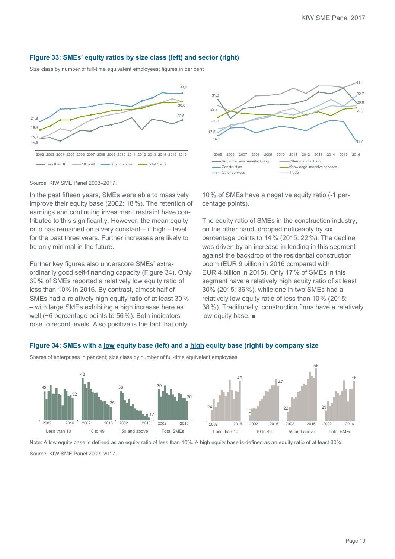# **Figure 33: SMEs' equity ratios by size class (left) and sector (right)**

Size class by number of full-time equivalent employees; figures in per cent





Source: KfW SME Panel 2003–2017.

In the past fifteen years, SMEs were able to massively improve their equity base (2002: 18%). The retention of earnings and continuing investment restraint have contributed to this significantly. However, the mean equity ratio has remained on a very constant – if high – level for the past three years. Further increases are likely to be only minimal in the future.

Further key figures also underscore SMEs' extraordinarily good self-financing capacity (Figure 34). Only 30% of SMEs reported a relatively low equity ratio of less than 10% in 2016. By contrast, almost half of SMEs had a relatively high equity ratio of at least 30 % – with large SMEs exhibiting a high increase here as well (+6 percentage points to 56%). Both indicators rose to record levels. Also positive is the fact that only

10% of SMEs have a negative equity ratio (-1 percentage points).

The equity ratio of SMEs in the construction industry, on the other hand, dropped noticeably by six percentage points to 14% (2015: 22%). The decline was driven by an increase in lending in this segment against the backdrop of the residential construction boom (EUR 9 billion in 2016 compared with EUR 4 billion in 2015). Only 17% of SMEs in this segment have a relatively high equity ratio of at least 30% (2015: 36%), while one in two SMEs had a relatively low equity ratio of less than 10% (2015: 38%). Traditionally, construction firms have a relatively low equity base. ■

# **Figure 34: SMEs with a low equity base (left) and a high equity base (right) by company size**

Shares of enterprises in per cent; size class by number of full-time equivalent employees



Note: A low equity base is defined as an equity ratio of less than 10%. A high equity base is defined as an equity ratio of at least 30%.

Source: KfW SME Panel 2003–2017.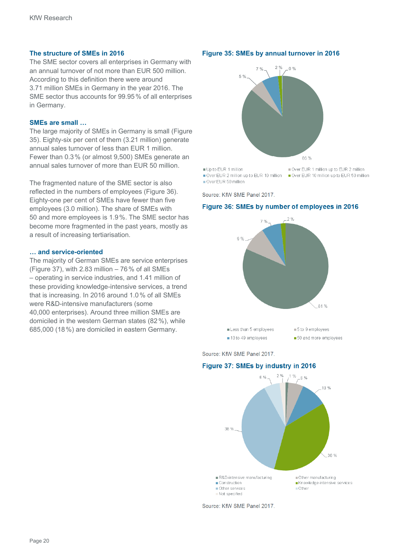# **The structure of SMEs in 2016**

The SME sector covers all enterprises in Germany with an annual turnover of not more than EUR 500 million. According to this definition there were around 3.71 million SMEs in Germany in the year 2016. The SME sector thus accounts for 99.95% of all enterprises in Germany.

#### **SMEs are small …**

The large majority of SMEs in Germany is small (Figure 35). Eighty-six per cent of them (3.21 million) generate annual sales turnover of less than EUR 1 million. Fewer than 0.3% (or almost 9,500) SMEs generate an annual sales turnover of more than EUR 50 million.

The fragmented nature of the SME sector is also reflected in the numbers of employees (Figure 36). Eighty-one per cent of SMEs have fewer than five employees (3.0 million). The share of SMEs with 50 and more employees is 1.9%. The SME sector has become more fragmented in the past years, mostly as a result of increasing tertiarisation.

### **… and service-oriented**

The majority of German SMEs are service enterprises (Figure 37), with 2.83 million  $-76%$  of all SMEs – operating in service industries, and 1.41 million of these providing knowledge-intensive services, a trend that is increasing. In 2016 around 1.0% of all SMEs were R&D-intensive manufacturers (some 40,000 enterprises). Around three million SMEs are domiciled in the western German states (82%), while 685,000 (18%) are domiciled in eastern Germany.

#### **Figure 35: SMEs by annual turnover in 2016**



Up to EUR 1 million Over EUR 1 million up to EUR 2 million ■ Over EUR 2 million up to EUR 10 million ■ Over EUR 10 million up to EUR 50 million

Over EUR 50 million

Source: KfW SME Panel 2017.

#### **Figure 36: SMEs by number of employees in 2016**



Source: KfW SME Panel 2017.

#### **Figure 37: SMEs by industry in 2016**



Source: KfW SME Panel 2017.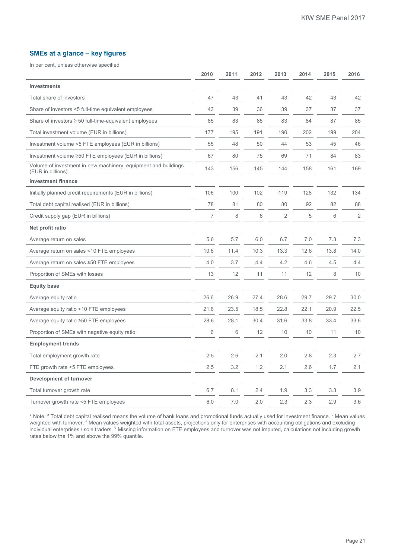# **SMEs at a glance – key figures**

In per cent, unless otherwise specified

|                                                                                     | 2010 | 2011 | 2012 | 2013           | 2014 | 2015 | 2016           |
|-------------------------------------------------------------------------------------|------|------|------|----------------|------|------|----------------|
| <b>Investments</b>                                                                  |      |      |      |                |      |      |                |
| Total share of investors                                                            | 47   | 43   | 41   | 43             | 42   | 43   | 42             |
| Share of investors <5 full-time equivalent employees                                | 43   | 39   | 36   | 39             | 37   | 37   | 37             |
| Share of investors $\geq$ 50 full-time-equivalent employees                         | 85   | 83   | 85   | 83             | 84   | 87   | 85             |
| Total investment volume (EUR in billions)                                           | 177  | 195  | 191  | 190            | 202  | 199  | 204            |
| Investment volume <5 FTE employees (EUR in billions)                                | 55   | 48   | 50   | 44             | 53   | 45   | 46             |
| Investment volume ≥50 FTE employees (EUR in billions)                               | 67   | 80   | 75   | 69             | 71   | 84   | 83             |
| Volume of investment in new machinery, equipment and buildings<br>(EUR in billions) | 143  | 156  | 145  | 144            | 158  | 161  | 169            |
| <b>Investment finance</b>                                                           |      |      |      |                |      |      |                |
| Initially planned credit requirements (EUR in billions)                             | 106  | 100  | 102  | 119            | 128  | 132  | 134            |
| Total debt capital realised (EUR in billions)                                       | 78   | 81   | 80   | 80             | 92   | 82   | 88             |
| Credit supply gap (EUR in billions)                                                 | 7    | 8    | 6    | $\overline{2}$ | 5    | 6    | $\overline{2}$ |
| Net profit ratio                                                                    |      |      |      |                |      |      |                |
| Average return on sales                                                             | 5.6  | 5.7  | 6.0  | 6.7            | 7.0  | 7.3  | 7.3            |
| Average return on sales <10 FTE employees                                           | 10.6 | 11.4 | 10.3 | 13.3           | 12.6 | 13.8 | 14.0           |
| Average return on sales ≥50 FTE employees                                           | 4.0  | 3.7  | 4.4  | 4.2            | 4.6  | 4.5  | 4.4            |
| Proportion of SMEs with losses                                                      | 13   | 12   | 11   | 11             | 12   | 8    | 10             |
| <b>Equity base</b>                                                                  |      |      |      |                |      |      |                |
| Average equity ratio                                                                | 26.6 | 26.9 | 27.4 | 28.6           | 29.7 | 29.7 | 30.0           |
| Average equity ratio <10 FTE employees                                              | 21.6 | 23.5 | 18.5 | 22.8           | 22.1 | 20.9 | 22.5           |
| Average equity ratio ≥50 FTE employees                                              | 28.6 | 28.1 | 30.4 | 31.6           | 33.8 | 33.4 | 33.6           |
| Proportion of SMEs with negative equity ratio                                       | 6    | 6    | 12   | 10             | 10   | 11   | 10             |
| <b>Employment trends</b>                                                            |      |      |      |                |      |      |                |
| Total employment growth rate                                                        | 2.5  | 2.6  | 2.1  | 2.0            | 2.8  | 2.3  | 2.7            |
| FTE growth rate <5 FTE employees                                                    | 2.5  | 3.2  | 1.2  | 2.1            | 2.6  | 1.7  | 2.1            |
| Development of turnover                                                             |      |      |      |                |      |      |                |
| Total turnover growth rate                                                          | 6.7  | 8.1  | 2.4  | 1.9            | 3.3  | 3.3  | 3.9            |
| Turnover growth rate <5 FTE employees                                               | 6.0  | 7.0  | 2.0  | 2.3            | 2.3  | 2.9  | 3.6            |

\* Note: <sup>a</sup> Total debt capital realised means the volume of bank loans and promotional funds actually used for investment finance. <sup>b</sup> Mean values weighted with turnover. <sup>c</sup> Mean values weighted with total assets, projections only for enterprises with accounting obligations and excluding individual enterprises / sole traders. <sup>d</sup> Missing information on FTE employees and turnover was not imputed, calculations not including growth rates below the 1% and above the 99% quantile.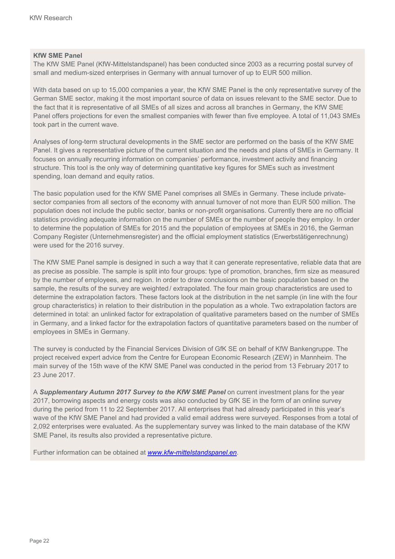# **KfW SME Panel**

The KfW SME Panel (KfW-Mittelstandspanel) has been conducted since 2003 as a recurring postal survey of small and medium-sized enterprises in Germany with annual turnover of up to EUR 500 million.

With data based on up to 15,000 companies a year, the KfW SME Panel is the only representative survey of the German SME sector, making it the most important source of data on issues relevant to the SME sector. Due to the fact that it is representative of all SMEs of all sizes and across all branches in Germany, the KfW SME Panel offers projections for even the smallest companies with fewer than five employee. A total of 11,043 SMEs took part in the current wave.

Analyses of long-term structural developments in the SME sector are performed on the basis of the KfW SME Panel. It gives a representative picture of the current situation and the needs and plans of SMEs in Germany. It focuses on annually recurring information on companies' performance, investment activity and financing structure. This tool is the only way of determining quantitative key figures for SMEs such as investment spending, loan demand and equity ratios.

The basic population used for the KfW SME Panel comprises all SMEs in Germany. These include privatesector companies from all sectors of the economy with annual turnover of not more than EUR 500 million. The population does not include the public sector, banks or non-profit organisations. Currently there are no official statistics providing adequate information on the number of SMEs or the number of people they employ. In order to determine the population of SMEs for 2015 and the population of employees at SMEs in 2016, the German Company Register (Unternehmensregister) and the official employment statistics (Erwerbstätigenrechnung) were used for the 2016 survey.

The KfW SME Panel sample is designed in such a way that it can generate representative, reliable data that are as precise as possible. The sample is split into four groups: type of promotion, branches, firm size as measured by the number of employees, and region. In order to draw conclusions on the basic population based on the sample, the results of the survey are weighted / extrapolated. The four main group characteristics are used to determine the extrapolation factors. These factors look at the distribution in the net sample (in line with the four group characteristics) in relation to their distribution in the population as a whole. Two extrapolation factors are determined in total: an unlinked factor for extrapolation of qualitative parameters based on the number of SMEs in Germany, and a linked factor for the extrapolation factors of quantitative parameters based on the number of employees in SMEs in Germany.

The survey is conducted by the Financial Services Division of GfK SE on behalf of KfW Bankengruppe. The project received expert advice from the Centre for European Economic Research (ZEW) in Mannheim. The main survey of the 15th wave of the KfW SME Panel was conducted in the period from 13 February 2017 to 23 June 2017.

A *Supplementary Autumn 2017 Survey to the KfW SME Panel* on current investment plans for the year 2017, borrowing aspects and energy costs was also conducted by GfK SE in the form of an online survey during the period from 11 to 22 September 2017. All enterprises that had already participated in this year's wave of the KfW SME Panel and had provided a valid email address were surveyed. Responses from a total of 2,092 enterprises were evaluated. As the supplementary survey was linked to the main database of the KfW SME Panel, its results also provided a representative picture.

Further information can be obtained at *www.kfw-mittelstandspanel.en*.